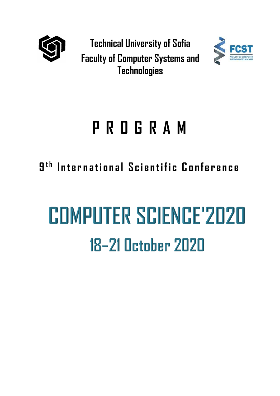

**Technical University of Sofia Faculty of Computer Systems and Technologies**



## **P R O G R A M**

**9 t h I n t e r n a t i o n a l S c i e n t i f i c C o n f e r e n c e**

# **COMPUTER SCIENCE'2020** 18-21 October 2020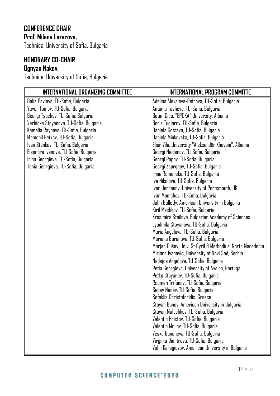#### **CONFERENCE CHAIR Prof. Milena Lazarova,**

Technical University of Sofia, Bulgaria

#### **HONORARY CO-CHAIR**

#### **Ognyan Nakov,**

Technical University of Sofia, Bulgaria

| <b>INTERNATIONAL ORGANIZING COMMITTEE</b> | <b>INTERNATIONAL PROGRAM COMMITTE</b>                     |
|-------------------------------------------|-----------------------------------------------------------|
| Galia Pavlova, TU-Sofia, Bulgaria         | Adelina Aleksieva-Petrova, TU-Sofia, Bulgaria             |
| Yavor Tomov, TU-Sofia, Bulgaria           | Antonia Tasheva, TU-Sofia, Bulgaria                       |
| Georgi Tsochev, TU-Sofia, Bulgaria        | Betim Cico, "EPOKA" University, Albania                   |
| Varbinka Stoyanova, TU-Sofia, Bulgaria    | Boris Tudjarov, TU-Sofia, Bulgaria                        |
| Kamelia Raynova, TU-Sofia, Bulgaria       | Daniela Gotseva, TU-Sofia, Bulgaria                       |
| Momchil Petkov, TU-Sofia, Bulgaria        | Daniela Minkovska, TU-Sofia, Bulgaria                     |
| Ivan Stankov, TU-Sofia, Bulgaria          | Elior Vila, University "Aleksandër Xhuvani", Albania      |
| Eleonora Ivanova, TU-Sofia, Bulgaria      | Georgi Naidenov, TU-Sofia, Bulgaria                       |
| Irina Georgieva, TU-Sofia, Bulgaria       | Georgi Popov, TU-Sofia, Bulgaria                          |
| Tania Georgieva, TU-Sofia, Bulgaria       | Georgi Zaprqnov, TU-Sofia, Bulgaria                       |
|                                           | Irina Romanska, TU-Sofia, Bulgaria                        |
|                                           | Iva Nikolova, TU-Sofia, Bulgaria                          |
|                                           | Ivan Jordanov, University of Portsmouth, UK               |
|                                           | Ivan Momchev, TU-Sofia, Bulgaria                          |
|                                           | John Galletly, American University in Bulgaria            |
|                                           | Kiril Mechkov, TU-Sofia, Bulgaria                         |
|                                           | Krasimira Stoilova, Bulgarian Academy of Sciences         |
|                                           | Lyudmila Stoyanova, TU-Sofia, Bulgaria                    |
|                                           | Maria Angelova, TU-Sofia, Bulgaria                        |
|                                           | Mariana Goranova, TU-Sofia, Bulgaria                      |
|                                           | Marjan Gušev, Univ. St Cyril & Methodius, North Macedonia |
|                                           | Mirjana Ivanović, University of Novi Sad, Serbia          |
|                                           | Nadejda Angelova, TU-Sofia, Bulgaria                      |
|                                           | Petia Georgieva, University of Aveiro, Portugal           |
|                                           | Petko Stoyanov, TU-Sofia, Bulgaria                        |
|                                           | Roumen Trifonov, TU-Sofia, Bulgaria                       |
|                                           | Segey Nedev, TU-Sofia, Bulgaria                           |
|                                           | Sofoklis Christoforidis, Greece                           |
|                                           | Stoyan Bonev, American University in Bulgaria             |
|                                           | Stoyan Maleshkov, TU-Sofia, Bulgaria                      |
|                                           | Valentin Hristov, TU-Sofia, Bulgaria                      |
|                                           | Valentin Mollov, TU-Sofia, Bulgaria                       |
|                                           | Veska Gancheva, TU-Sofia, Bulgaria                        |
|                                           | Virginia Dimitrova, TU-Sofia, Bulgaria                    |
|                                           | Volin Karagiozov, American University in Bulgaria         |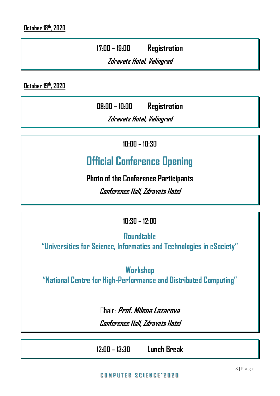**17:00 – 19:00 Registration**

**Zdravets Hotel, Velingrad**

**October 19th, 2020**

**08:00 – 10:00 Registration**

**Zdravets Hotel, Velingrad**

**10:00 – 10:30**

### **Official Conference Opening**

**Photo of the Conference Participants** 

**Conference Hall, Zdravets Hotel**

#### **10:30 – 12:00**

**Roundtable**

**"Universities for Science, Informatics and Technologies in eSociety"**

**Workshop "National Centre for High-Performance and Distributed Computing"**

> Chair: **Prof. Milena Lazarova Conference Hall, Zdravets Hotel**

**12:00 – 13:30 Lunch Break**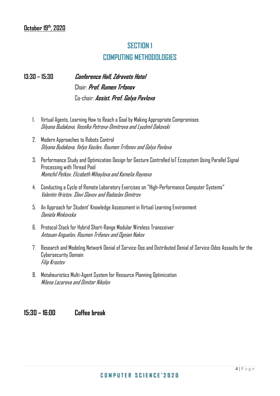#### **SECTION 1 COMPUTING METHODOLOGIES**

**13:30 – 15:30 Conference Hall, Zdravets Hotel** Chair: **Prof. Rumen Trfonov** Co-chair: **Assist. Prof. Galya Pavlova**

- 1. Virtual Agents, Learning How to Reach a Goal by Making Appropriate Compromises Dilyana Budakova, Veselka Petrova-Dimitrova and Lyudmil Dakovski
- 2. Modern Approaches to Robots Control Dilyana Budakova, Velyo Vasilev, Roumen Trifonov and Galya Pavlova
- 3. Performance Study and Optimization Design for Gesture Controlled IoT Ecosystem Using Parallel Signal Processing with Thread Pool Momchil Petkov, Elizabeth Mihaylova and Kamelia Raynova
- 4. Conducting a Cycle of Remote Laboratory Exercises on "High-Performance Computer Systems" Valentin Hristov, Slavi Slavov and Radoslav Dimitrov
- 5. An Approach for Student' Knowledge Assessment in Virtual Learning Environment Daniela Minkovska
- 6. Protocol Stack for Hybrid Short-Range Modular Wireless Transceiver Antouan Anguelov, Roumen Trifonov and Ognian Nakov
- 7. Research and Modeling Network Denial of Service-Dos and Distributed Denial of Service-Ddos Assaults for the Cybersecurity Domain Filip Krastev
- 8. Metaheuristics Multi-Agent System for Resource Planning Optimization Milena Lazarova and Dimitar Nikolov

#### **15:30 – 16:00 Coffee break**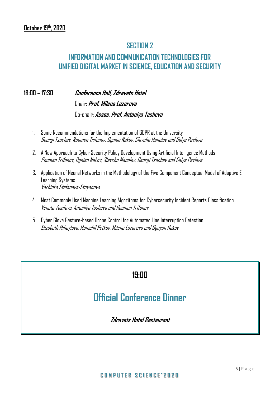#### **SECTION 2**

#### **INFORMATION AND COMMUNICATION TECHNOLOGIES FOR UNIFIED DIGITAL MARKET IN SCIENCE, EDUCATION AND SECURITY**

**16:00 – 17:30 Conference Hall, Zdravets Hotel** Chair: **Prof. Milena Lazarova**

Co-chair: **Assoc. Prof. Antoniya Tasheva**

- 1. Some Recommendations for the Implementation of GDPR at the University Georgi Tsochev, Roumen Trifonov, Ognian Nakov, Slavcho Manolov and Galya Pavlova
- 2. A New Approach to Cyber Security Policy Development Using Artificial Intelligence Methods Roumen Trifonov, Ognian Nakov, Slavcho Manolov, Georgi Tsochev and Galya Pavlova
- 3. Application of Neural Networks in the Methodology of the Five Component Conceptual Model of Adaptive E-Learning Systems Varbinka Stefanova-Stoyanova
- 4. Most Commonly Used Machine Learning Algorithms for Cybersecurity Incident Reports Classification Veneta Yosifova, Antoniya Tasheva and Roumen Trifonov
- 5. Cyber Glove Gesture-based Drone Control for Automated Line Interruption Detection Elizabeth Mihaylova, Momchil Petkov, Milena Lazarova and Ognyan Nakov

#### **19:00**

#### **Official Conference Dinner**

**Zdravets Hotel Restaurant**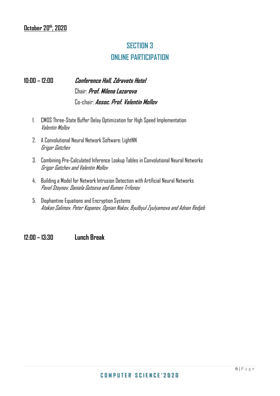#### **SECTION 3 ONLINE PARTICIPATION**

#### **10:00 – 12:00 Conference Hall, Zdravets Hotel** Chair: **Prof. Milena Lazarova** Co-chair: **Assoc. Prof. Valentin Mollov**

- 1. CMOS Three-State Buffer Delay Optimization for High Speed Implementation Valentin Mollov
- 2. A Convolutional Neural Network Software: LightNN Grigor Gatchev
- 3. Combining Pre-Calculated Inference Lookup Tables in Convolutional Neural Networks Grigor Gatchev and Valentin Mollov
- 4. Building a Model for Network Intrusion Detection with Artificial Neural Networks Pavel Stoynov, Daniela Gotseva and Rumen Trifonov
- 5. Diophantine Equations and Encryption Systems Atakan Salimov, Peter Kopanov, Ognian Nakov, Byulbyul Zyulyamova and Adnan Redjeb

**12:00 – 13:30 Lunch Break**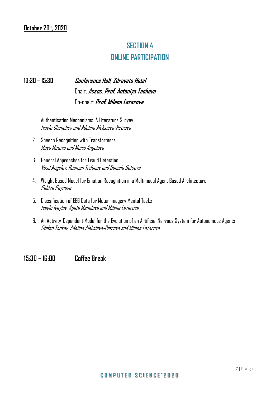#### **SECTION 4 ONLINE PARTICIPATION**

#### **13:30 – 15:30 Conference Hall, Zdravets Hotel** Chair: **Assoc. Prof. Antoniya Tasheva** Co-chair: **Prof. Milena Lazarova**

- 1. Authentication Mechanisms: A Literature Survey Ivaylo Chenchev and Adelina Aleksieva-Petrova
- 2. Speech Recognition with Transformers Maya Mateva and Maria Angelova
- 3. General Approaches for Fraud Detection Vasil Angelov, Roumen Trifonov and Daniela Gotseva
- 4. Weight Based Model for Emotion Recognition in a Multimodal Agent Based Architecture Ralitza Raynova
- 5. Classification of EEG Data for Motor Imagery Mental Tasks Ivaylo Ivaylov, Agata Manolova and Milena Lazarova
- 6. An Activity-Dependent Model for the Evolution of an Artificial Nervous System for Autonomous Agents Stefan Tsokov, Adelina Aleksieva-Petrova and Milena Lazarova

#### **15:30 – 16:00 Coffee Break**